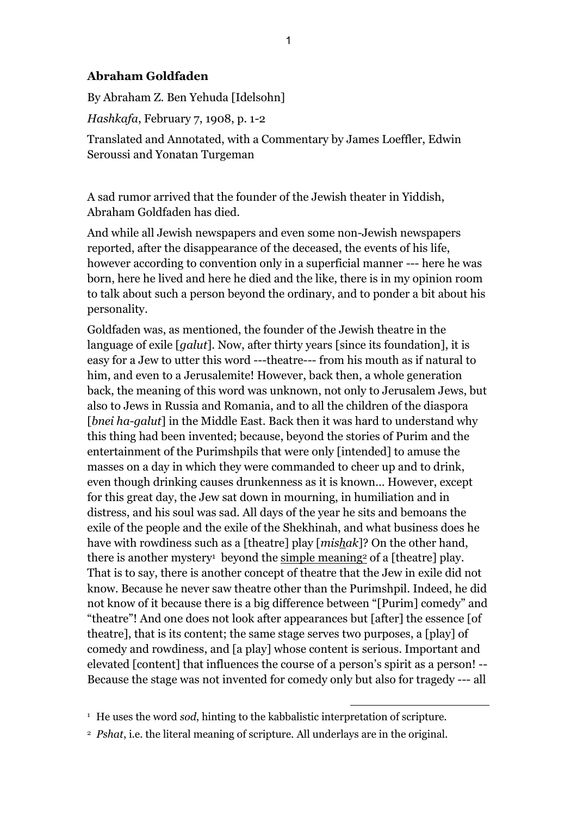## **Abraham Goldfaden**

By Abraham Z. Ben Yehuda [Idelsohn]

*Hashkafa*, February 7, 1908, p. 1-2

Translated and Annotated, with a Commentary by James Loeffler, Edwin Seroussi and Yonatan Turgeman

A sad rumor arrived that the founder of the Jewish theater in Yiddish, Abraham Goldfaden has died.

And while all Jewish newspapers and even some non-Jewish newspapers reported, after the disappearance of the deceased, the events of his life, however according to convention only in a superficial manner --- here he was born, here he lived and here he died and the like, there is in my opinion room to talk about such a person beyond the ordinary, and to ponder a bit about his personality.

Goldfaden was, as mentioned, the founder of the Jewish theatre in the language of exile [*galut*]. Now, after thirty years [since its foundation], it is easy for a Jew to utter this word ---theatre--- from his mouth as if natural to him, and even to a Jerusalemite! However, back then, a whole generation back, the meaning of this word was unknown, not only to Jerusalem Jews, but also to Jews in Russia and Romania, and to all the children of the diaspora [*bnei ha-galut*] in the Middle East. Back then it was hard to understand why this thing had been invented; because, beyond the stories of Purim and the entertainment of the Purimshpils that were only [intended] to amuse the masses on a day in which they were commanded to cheer up and to drink, even though drinking causes drunkenness as it is known… However, except for this great day, the Jew sat down in mourning, in humiliation and in distress, and his soul was sad. All days of the year he sits and bemoans the exile of the people and the exile of the Shekhinah, and what business does he have with rowdiness such as a [theatre] play [*mishak*]? On the other hand, there is another mystery<sup>1</sup> beyond the simple meaning<sup>2</sup> of a [theatre] play. That is to say, there is another concept of theatre that the Jew in exile did not know. Because he never saw theatre other than the Purimshpil. Indeed, he did not know of it because there is a big difference between "[Purim] comedy" and "theatre"! And one does not look after appearances but [after] the essence [of theatre], that is its content; the same stage serves two purposes, a [play] of comedy and rowdiness, and [a play] whose content is serious. Important and elevated [content] that influences the course of a person's spirit as a person! -- Because the stage was not invented for comedy only but also for tragedy --- all

<sup>&</sup>lt;sup>1</sup> He uses the word *sod*, hinting to the kabbalistic interpretation of scripture.

<sup>2</sup> *Pshat*, i.e. the literal meaning of scripture. All underlays are in the original.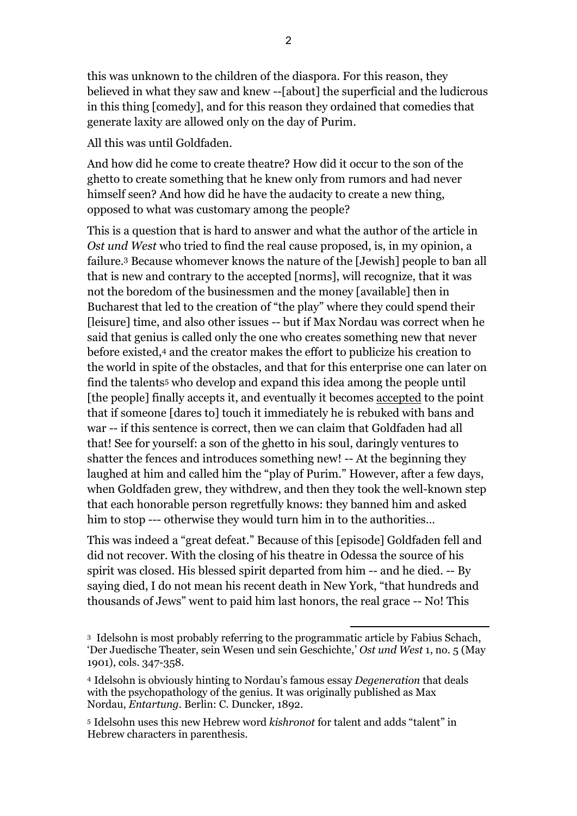this was unknown to the children of the diaspora. For this reason, they believed in what they saw and knew --[about] the superficial and the ludicrous in this thing [comedy], and for this reason they ordained that comedies that generate laxity are allowed only on the day of Purim.

All this was until Goldfaden.

And how did he come to create theatre? How did it occur to the son of the ghetto to create something that he knew only from rumors and had never himself seen? And how did he have the audacity to create a new thing, opposed to what was customary among the people?

This is a question that is hard to answer and what the author of the article in *Ost und West* who tried to find the real cause proposed, is, in my opinion, a failure. <sup>3</sup> Because whomever knows the nature of the [Jewish] people to ban all that is new and contrary to the accepted [norms], will recognize, that it was not the boredom of the businessmen and the money [available] then in Bucharest that led to the creation of "the play" where they could spend their [leisure] time, and also other issues -- but if Max Nordau was correct when he said that genius is called only the one who creates something new that never before existed,<sup>4</sup> and the creator makes the effort to publicize his creation to the world in spite of the obstacles, and that for this enterprise one can later on find the talents<sup>5</sup> who develop and expand this idea among the people until [the people] finally accepts it, and eventually it becomes accepted to the point that if someone [dares to] touch it immediately he is rebuked with bans and war -- if this sentence is correct, then we can claim that Goldfaden had all that! See for yourself: a son of the ghetto in his soul, daringly ventures to shatter the fences and introduces something new! -- At the beginning they laughed at him and called him the "play of Purim." However, after a few days, when Goldfaden grew, they withdrew, and then they took the well-known step that each honorable person regretfully knows: they banned him and asked him to stop --- otherwise they would turn him in to the authorities…

This was indeed a "great defeat." Because of this [episode] Goldfaden fell and did not recover. With the closing of his theatre in Odessa the source of his spirit was closed. His blessed spirit departed from him -- and he died. -- By saying died, I do not mean his recent death in New York, "that hundreds and thousands of Jews" went to paid him last honors, the real grace -- No! This

1 <sup>3</sup> Idelsohn is most probably referring to the programmatic article by Fabius Schach, 'Der Juedische Theater, sein Wesen und sein Geschichte,' *Ost und West* 1, no. 5 (May 1901), cols. 347-358.

<sup>4</sup> Idelsohn is obviously hinting to Nordau's famous essay *Degeneration* that deals with the psychopathology of the genius. It was originally published as Max Nordau, *Entartung.* Berlin: C. Duncker, 1892.

<sup>5</sup> Idelsohn uses this new Hebrew word *kishronot* for talent and adds "talent" in Hebrew characters in parenthesis.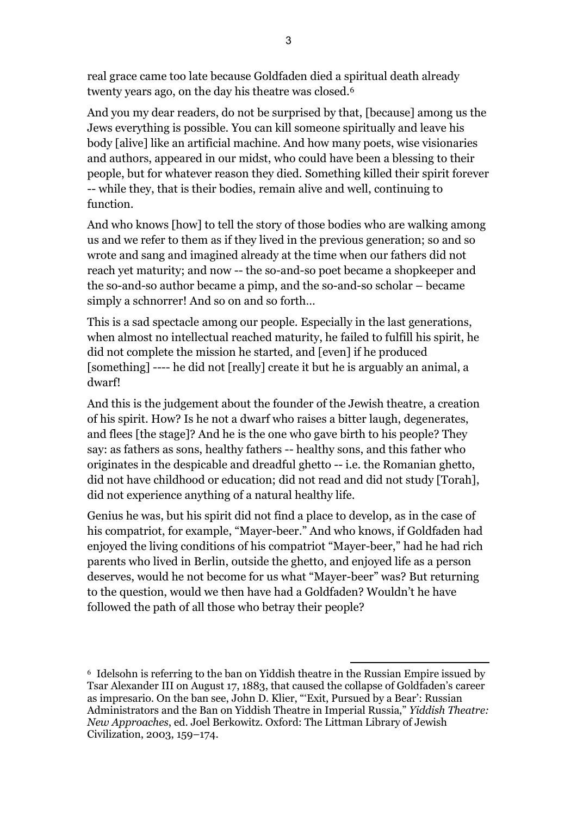real grace came too late because Goldfaden died a spiritual death already twenty years ago, on the day his theatre was closed.<sup>6</sup>

And you my dear readers, do not be surprised by that, [because] among us the Jews everything is possible. You can kill someone spiritually and leave his body [alive] like an artificial machine. And how many poets, wise visionaries and authors, appeared in our midst, who could have been a blessing to their people, but for whatever reason they died. Something killed their spirit forever -- while they, that is their bodies, remain alive and well, continuing to function.

And who knows [how] to tell the story of those bodies who are walking among us and we refer to them as if they lived in the previous generation; so and so wrote and sang and imagined already at the time when our fathers did not reach yet maturity; and now -- the so-and-so poet became a shopkeeper and the so-and-so author became a pimp, and the so-and-so scholar – became simply a schnorrer! And so on and so forth...

This is a sad spectacle among our people. Especially in the last generations, when almost no intellectual reached maturity, he failed to fulfill his spirit, he did not complete the mission he started, and [even] if he produced [something] ---- he did not [really] create it but he is arguably an animal, a dwarf!

And this is the judgement about the founder of the Jewish theatre, a creation of his spirit. How? Is he not a dwarf who raises a bitter laugh, degenerates, and flees [the stage]? And he is the one who gave birth to his people? They say: as fathers as sons, healthy fathers -- healthy sons, and this father who originates in the despicable and dreadful ghetto -- i.e. the Romanian ghetto, did not have childhood or education; did not read and did not study [Torah], did not experience anything of a natural healthy life.

Genius he was, but his spirit did not find a place to develop, as in the case of his compatriot, for example, "Mayer-beer." And who knows, if Goldfaden had enjoyed the living conditions of his compatriot "Mayer-beer," had he had rich parents who lived in Berlin, outside the ghetto, and enjoyed life as a person deserves, would he not become for us what "Mayer-beer" was? But returning to the question, would we then have had a Goldfaden? Wouldn't he have followed the path of all those who betray their people?

<sup>6</sup> Idelsohn is referring to the ban on Yiddish theatre in the Russian Empire issued by Tsar Alexander III on August 17, 1883, that caused the collapse of Goldfaden's career as impresario. On the ban see, John D. Klier, "'Exit, Pursued by a Bear': Russian Administrators and the Ban on Yiddish Theatre in Imperial Russia," *Yiddish Theatre: New Approaches*, ed. Joel Berkowitz. Oxford: The Littman Library of Jewish Civilization, 2003, 159–174.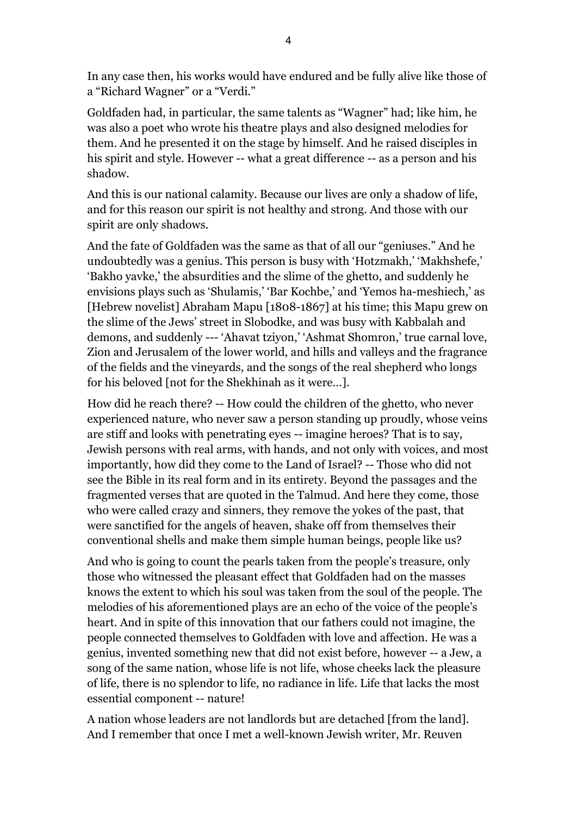In any case then, his works would have endured and be fully alive like those of a "Richard Wagner" or a "Verdi."

Goldfaden had, in particular, the same talents as "Wagner" had; like him, he was also a poet who wrote his theatre plays and also designed melodies for them. And he presented it on the stage by himself. And he raised disciples in his spirit and style. However -- what a great difference -- as a person and his shadow.

And this is our national calamity. Because our lives are only a shadow of life, and for this reason our spirit is not healthy and strong. And those with our spirit are only shadows.

And the fate of Goldfaden was the same as that of all our "geniuses." And he undoubtedly was a genius. This person is busy with 'Hotzmakh,' 'Makhshefe,' 'Bakho yavke,' the absurdities and the slime of the ghetto, and suddenly he envisions plays such as 'Shulamis,' 'Bar Kochbe,' and 'Yemos ha-meshiech,' as [Hebrew novelist] Abraham Mapu [1808-1867] at his time; this Mapu grew on the slime of the Jews' street in Slobodke, and was busy with Kabbalah and demons, and suddenly --- 'Ahavat tziyon,' 'Ashmat Shomron,' true carnal love, Zion and Jerusalem of the lower world, and hills and valleys and the fragrance of the fields and the vineyards, and the songs of the real shepherd who longs for his beloved [not for the Shekhinah as it were…].

How did he reach there? -- How could the children of the ghetto, who never experienced nature, who never saw a person standing up proudly, whose veins are stiff and looks with penetrating eyes -- imagine heroes? That is to say, Jewish persons with real arms, with hands, and not only with voices, and most importantly, how did they come to the Land of Israel? -- Those who did not see the Bible in its real form and in its entirety. Beyond the passages and the fragmented verses that are quoted in the Talmud. And here they come, those who were called crazy and sinners, they remove the yokes of the past, that were sanctified for the angels of heaven, shake off from themselves their conventional shells and make them simple human beings, people like us?

And who is going to count the pearls taken from the people's treasure, only those who witnessed the pleasant effect that Goldfaden had on the masses knows the extent to which his soul was taken from the soul of the people. The melodies of his aforementioned plays are an echo of the voice of the people's heart. And in spite of this innovation that our fathers could not imagine, the people connected themselves to Goldfaden with love and affection. He was a genius, invented something new that did not exist before, however -- a Jew, a song of the same nation, whose life is not life, whose cheeks lack the pleasure of life, there is no splendor to life, no radiance in life. Life that lacks the most essential component -- nature!

A nation whose leaders are not landlords but are detached [from the land]. And I remember that once I met a well-known Jewish writer, Mr. Reuven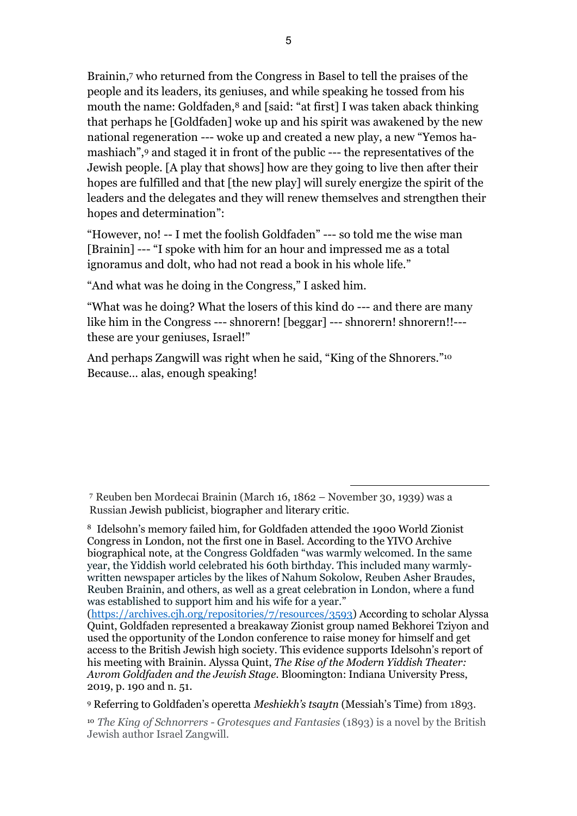Brainin,<sup>7</sup> who returned from the Congress in Basel to tell the praises of the people and its leaders, its geniuses, and while speaking he tossed from his mouth the name: Goldfaden,<sup>8</sup> and [said: "at first] I was taken aback thinking that perhaps he [Goldfaden] woke up and his spirit was awakened by the new national regeneration --- woke up and created a new play, a new "Yemos hamashiach",<sup>9</sup> and staged it in front of the public --- the representatives of the Jewish people. [A play that shows] how are they going to live then after their hopes are fulfilled and that [the new play] will surely energize the spirit of the leaders and the delegates and they will renew themselves and strengthen their hopes and determination":

"However, no! -- I met the foolish Goldfaden" --- so told me the wise man [Brainin] --- "I spoke with him for an hour and impressed me as a total ignoramus and dolt, who had not read a book in his whole life."

"And what was he doing in the Congress," I asked him.

"What was he doing? What the losers of this kind do --- and there are many like him in the Congress --- shnorern! [beggar] --- shnorern! shnorern!!-- these are your geniuses, Israel!"

And perhaps Zangwill was right when he said, "King of the Shnorers."<sup>10</sup> Because… alas, enough speaking!

1

[\(https://archives.cjh.org/repositories/7/resources/3593\)](https://archives.cjh.org/repositories/7/resources/3593) According to scholar Alyssa Quint, Goldfaden represented a breakaway Zionist group named Bekhorei Tziyon and used the opportunity of the London conference to raise money for himself and get access to the British Jewish high society. This evidence supports Idelsohn's report of his meeting with Brainin. Alyssa Quint, *The Rise of the Modern Yiddish Theater: Avrom Goldfaden and the Jewish Stage*. Bloomington: Indiana University Press, 2019, p. 190 and n. 51.

<sup>9</sup> Referring to Goldfaden's operetta *Meshiekh's tsaytn* (Messiah's Time) from 1893.

<sup>10</sup> *The King of Schnorrers - Grotesques and Fantasies* (1893) is a novel by the British Jewish author Israel Zangwill.

<sup>7</sup> Reuben ben Mordecai Brainin (March 16, 1862 – November 30, 1939) was a Russian Jewish publicist, biographer and literary critic.

<sup>8</sup> Idelsohn's memory failed him, for Goldfaden attended the 1900 World Zionist Congress in London, not the first one in Basel. According to the YIVO Archive biographical note, at the Congress Goldfaden "was warmly welcomed. In the same year, the Yiddish world celebrated his 60th birthday. This included many warmlywritten newspaper articles by the likes of Nahum Sokolow, Reuben Asher Braudes, Reuben Brainin, and others, as well as a great celebration in London, where a fund was established to support him and his wife for a year."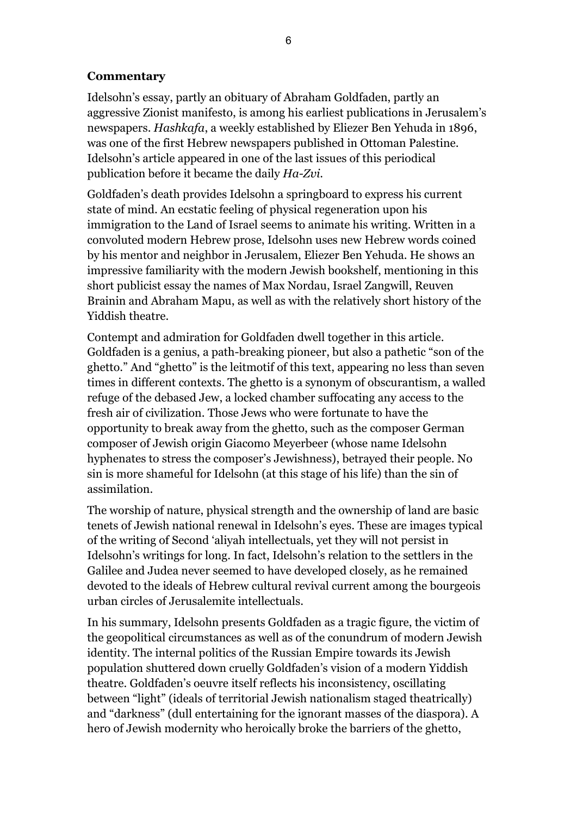## **Commentary**

Idelsohn's essay, partly an obituary of Abraham Goldfaden, partly an aggressive Zionist manifesto, is among his earliest publications in Jerusalem's newspapers. *Hashkafa*, a weekly established by Eliezer Ben Yehuda in 1896, was one of the first Hebrew newspapers published in Ottoman Palestine. Idelsohn's article appeared in one of the last issues of this periodical publication before it became the daily *Ha-Zvi*.

Goldfaden's death provides Idelsohn a springboard to express his current state of mind. An ecstatic feeling of physical regeneration upon his immigration to the Land of Israel seems to animate his writing. Written in a convoluted modern Hebrew prose, Idelsohn uses new Hebrew words coined by his mentor and neighbor in Jerusalem, Eliezer Ben Yehuda. He shows an impressive familiarity with the modern Jewish bookshelf, mentioning in this short publicist essay the names of Max Nordau, Israel Zangwill, Reuven Brainin and Abraham Mapu, as well as with the relatively short history of the Yiddish theatre.

Contempt and admiration for Goldfaden dwell together in this article. Goldfaden is a genius, a path-breaking pioneer, but also a pathetic "son of the ghetto." And "ghetto" is the leitmotif of this text, appearing no less than seven times in different contexts. The ghetto is a synonym of obscurantism, a walled refuge of the debased Jew, a locked chamber suffocating any access to the fresh air of civilization. Those Jews who were fortunate to have the opportunity to break away from the ghetto, such as the composer German composer of Jewish origin Giacomo Meyerbeer (whose name Idelsohn hyphenates to stress the composer's Jewishness), betrayed their people. No sin is more shameful for Idelsohn (at this stage of his life) than the sin of assimilation.

The worship of nature, physical strength and the ownership of land are basic tenets of Jewish national renewal in Idelsohn's eyes. These are images typical of the writing of Second 'aliyah intellectuals, yet they will not persist in Idelsohn's writings for long. In fact, Idelsohn's relation to the settlers in the Galilee and Judea never seemed to have developed closely, as he remained devoted to the ideals of Hebrew cultural revival current among the bourgeois urban circles of Jerusalemite intellectuals.

In his summary, Idelsohn presents Goldfaden as a tragic figure, the victim of the geopolitical circumstances as well as of the conundrum of modern Jewish identity. The internal politics of the Russian Empire towards its Jewish population shuttered down cruelly Goldfaden's vision of a modern Yiddish theatre. Goldfaden's oeuvre itself reflects his inconsistency, oscillating between "light" (ideals of territorial Jewish nationalism staged theatrically) and "darkness" (dull entertaining for the ignorant masses of the diaspora). A hero of Jewish modernity who heroically broke the barriers of the ghetto,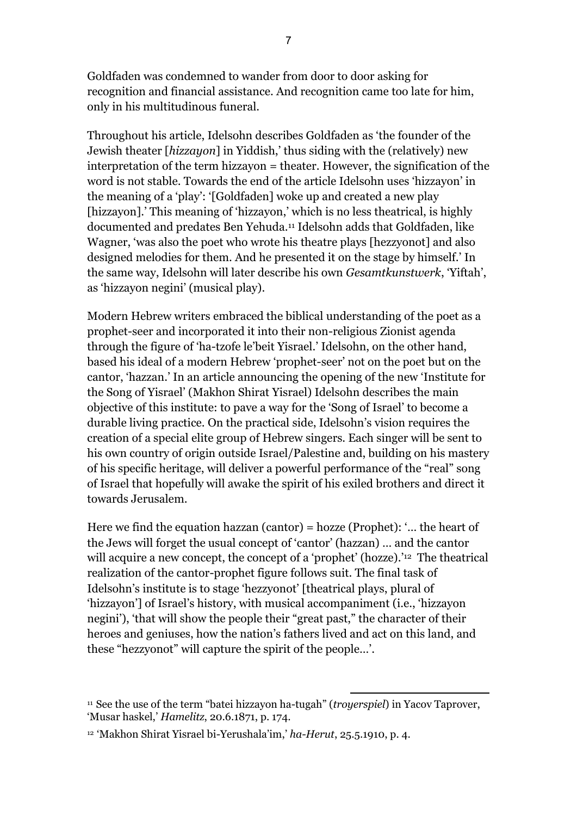Goldfaden was condemned to wander from door to door asking for recognition and financial assistance. And recognition came too late for him, only in his multitudinous funeral.

Throughout his article, Idelsohn describes Goldfaden as 'the founder of the Jewish theater [*hizzayon*] in Yiddish,' thus siding with the (relatively) new interpretation of the term hizzayon = theater. However, the signification of the word is not stable. Towards the end of the article Idelsohn uses 'hizzayon' in the meaning of a 'play': '[Goldfaden] woke up and created a new play [hizzayon].' This meaning of 'hizzayon,' which is no less theatrical, is highly documented and predates Ben Yehuda. <sup>11</sup> Idelsohn adds that Goldfaden, like Wagner, 'was also the poet who wrote his theatre plays [hezzyonot] and also designed melodies for them. And he presented it on the stage by himself.' In the same way, Idelsohn will later describe his own *Gesamtkunstwerk*, 'Yiftah', as 'hizzayon negini' (musical play).

Modern Hebrew writers embraced the biblical understanding of the poet as a prophet-seer and incorporated it into their non-religious Zionist agenda through the figure of 'ha-tzofe le'beit Yisrael.' Idelsohn, on the other hand, based his ideal of a modern Hebrew 'prophet-seer' not on the poet but on the cantor, 'hazzan.' In an article announcing the opening of the new 'Institute for the Song of Yisrael' (Makhon Shirat Yisrael) Idelsohn describes the main objective of this institute: to pave a way for the 'Song of Israel' to become a durable living practice. On the practical side, Idelsohn's vision requires the creation of a special elite group of Hebrew singers. Each singer will be sent to his own country of origin outside Israel/Palestine and, building on his mastery of his specific heritage, will deliver a powerful performance of the "real" song of Israel that hopefully will awake the spirit of his exiled brothers and direct it towards Jerusalem.

Here we find the equation hazzan (cantor) = hozze (Prophet): '... the heart of the Jews will forget the usual concept of 'cantor' (hazzan) … and the cantor will acquire a new concept, the concept of a 'prophet' (hozze).<sup>'12</sup> The theatrical realization of the cantor-prophet figure follows suit. The final task of Idelsohn's institute is to stage 'hezzyonot' [theatrical plays, plural of 'hizzayon'] of Israel's history, with musical accompaniment (i.e., 'hizzayon negini'), 'that will show the people their "great past," the character of their heroes and geniuses, how the nation's fathers lived and act on this land, and these "hezzyonot" will capture the spirit of the people…'.

<sup>11</sup> See the use of the term "batei hizzayon ha-tugah" (*troyerspiel*) in Yacov Taprover, 'Musar haskel,' *Hamelitz*, 20.6.1871, p. 174.

<sup>12</sup> 'Makhon Shirat Yisrael bi-Yerushala'im,' *ha-Herut*, 25.5.1910, p. 4.